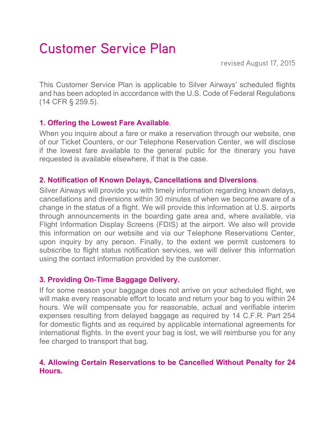# Customer Service Plan

revised August 17, 2015

This Customer Service Plan is applicable to Silver Airways' scheduled flights and has been adopted in accordance with the U.S. Code of Federal Regulations (14 CFR § 259.5).

# **1. Offering the Lowest Fare Available**.

When you inquire about a fare or make a reservation through our website, one of our Ticket Counters, or our Telephone Reservation Center, we will disclose if the lowest fare available to the general public for the itinerary you have requested is available elsewhere, if that is the case.

# **2. Notification of Known Delays, Cancellations and Diversions**.

Silver Airways will provide you with timely information regarding known delays, cancellations and diversions within 30 minutes of when we become aware of a change in the status of a flight. We will provide this information at U.S. airports through announcements in the boarding gate area and, where available, via Flight Information Display Screens (FDIS) at the airport. We also will provide this information on our website and via our Telephone Reservations Center, upon inquiry by any person. Finally, to the extent we permit customers to subscribe to flight status notification services, we will deliver this information using the contact information provided by the customer.

#### **3. Providing On-Time Baggage Delivery.**

If for some reason your baggage does not arrive on your scheduled flight, we will make every reasonable effort to locate and return your bag to you within 24 hours. We will compensate you for reasonable, actual and verifiable interim expenses resulting from delayed baggage as required by 14 C.F.R. Part 254 for domestic flights and as required by applicable international agreements for international flights. In the event your bag is lost, we will reimburse you for any fee charged to transport that bag.

# **4. Allowing Certain Reservations to be Cancelled Without Penalty for 24 Hours.**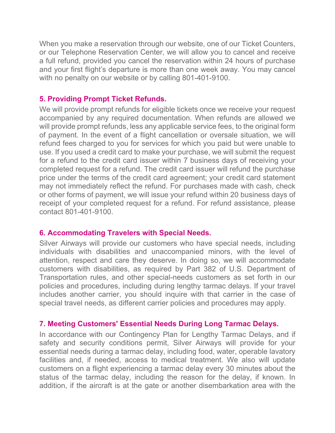When you make a reservation through our website, one of our Ticket Counters, or our Telephone Reservation Center, we will allow you to cancel and receive a full refund, provided you cancel the reservation within 24 hours of purchase and your first flight's departure is more than one week away. You may cancel with no penalty on our website or by calling 801-401-9100.

## **5. Providing Prompt Ticket Refunds.**

We will provide prompt refunds for eligible tickets once we receive your request accompanied by any required documentation. When refunds are allowed we will provide prompt refunds, less any applicable service fees, to the original form of payment. In the event of a flight cancellation or oversale situation, we will refund fees charged to you for services for which you paid but were unable to use. If you used a credit card to make your purchase, we will submit the request for a refund to the credit card issuer within 7 business days of receiving your completed request for a refund. The credit card issuer will refund the purchase price under the terms of the credit card agreement; your credit card statement may not immediately reflect the refund. For purchases made with cash, check or other forms of payment, we will issue your refund within 20 business days of receipt of your completed request for a refund. For refund assistance, please contact 801-401-9100.

#### **6. Accommodating Travelers with Special Needs.**

Silver Airways will provide our customers who have special needs, including individuals with disabilities and unaccompanied minors, with the level of attention, respect and care they deserve. In doing so, we will accommodate customers with disabilities, as required by Part 382 of U.S. Department of Transportation rules, and other special-needs customers as set forth in our policies and procedures, including during lengthy tarmac delays. If your travel includes another carrier, you should inquire with that carrier in the case of special travel needs, as different carrier policies and procedures may apply.

#### **7. Meeting Customers' Essential Needs During Long Tarmac Delays.**

In accordance with our Contingency Plan for Lengthy Tarmac Delays, and if safety and security conditions permit, Silver Airways will provide for your essential needs during a tarmac delay, including food, water, operable lavatory facilities and, if needed, access to medical treatment. We also will update customers on a flight experiencing a tarmac delay every 30 minutes about the status of the tarmac delay, including the reason for the delay, if known. In addition, if the aircraft is at the gate or another disembarkation area with the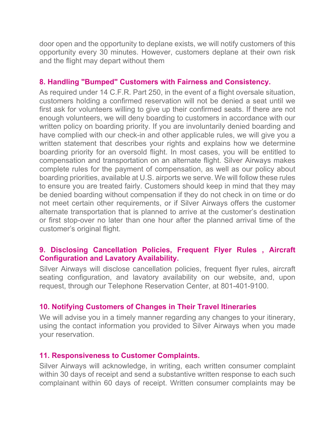door open and the opportunity to deplane exists, we will notify customers of this opportunity every 30 minutes. However, customers deplane at their own risk and the flight may depart without them

## **8. Handling "Bumped" Customers with Fairness and Consistency.**

As required under 14 C.F.R. Part 250, in the event of a flight oversale situation, customers holding a confirmed reservation will not be denied a seat until we first ask for volunteers willing to give up their confirmed seats. If there are not enough volunteers, we will deny boarding to customers in accordance with our written policy on boarding priority. If you are involuntarily denied boarding and have complied with our check-in and other applicable rules, we will give you a written statement that describes your rights and explains how we determine boarding priority for an oversold flight. In most cases, you will be entitled to compensation and transportation on an alternate flight. Silver Airways makes complete rules for the payment of compensation, as well as our policy about boarding priorities, available at U.S. airports we serve. We will follow these rules to ensure you are treated fairly. Customers should keep in mind that they may be denied boarding without compensation if they do not check in on time or do not meet certain other requirements, or if Silver Airways offers the customer alternate transportation that is planned to arrive at the customer's destination or first stop-over no later than one hour after the planned arrival time of the customer's original flight.

# **9. Disclosing Cancellation Policies, Frequent Flyer Rules , Aircraft Configuration and Lavatory Availability.**

Silver Airways will disclose cancellation policies, frequent flyer rules, aircraft seating configuration, and lavatory availability on our website, and, upon request, through our Telephone Reservation Center, at 801-401-9100.

#### **10. Notifying Customers of Changes in Their Travel Itineraries**

We will advise you in a timely manner regarding any changes to your itinerary, using the contact information you provided to Silver Airways when you made your reservation.

#### **11. Responsiveness to Customer Complaints.**

Silver Airways will acknowledge, in writing, each written consumer complaint within 30 days of receipt and send a substantive written response to each such complainant within 60 days of receipt. Written consumer complaints may be